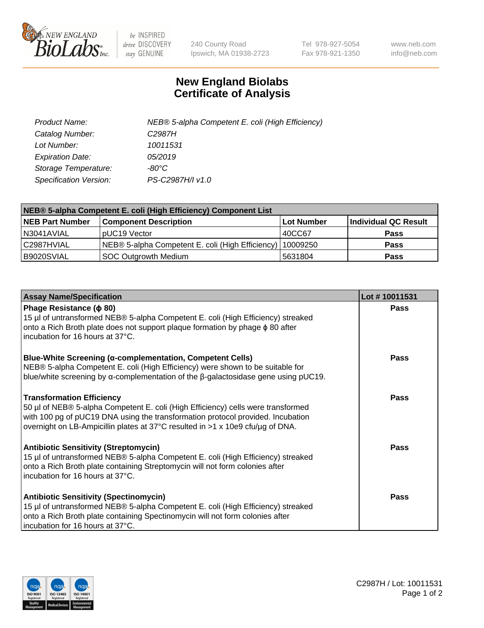

 $be$  INSPIRED drive DISCOVERY stay GENUINE

240 County Road Ipswich, MA 01938-2723 Tel 978-927-5054 Fax 978-921-1350 www.neb.com info@neb.com

## **New England Biolabs Certificate of Analysis**

| Product Name:           | NEB® 5-alpha Competent E. coli (High Efficiency) |
|-------------------------|--------------------------------------------------|
| Catalog Number:         | C <sub>2987</sub> H                              |
| Lot Number:             | 10011531                                         |
| <b>Expiration Date:</b> | 05/2019                                          |
| Storage Temperature:    | -80°C                                            |
| Specification Version:  | PS-C2987H/I v1.0                                 |

| NEB® 5-alpha Competent E. coli (High Efficiency) Component List |                                                  |                   |                      |  |
|-----------------------------------------------------------------|--------------------------------------------------|-------------------|----------------------|--|
| <b>NEB Part Number</b>                                          | <b>Component Description</b>                     | <b>Lot Number</b> | Individual QC Result |  |
| N3041AVIAL                                                      | pUC19 Vector                                     | 40CC67            | <b>Pass</b>          |  |
| C2987HVIAL                                                      | NEB® 5-alpha Competent E. coli (High Efficiency) | 10009250          | <b>Pass</b>          |  |
| B9020SVIAL                                                      | SOC Outgrowth Medium                             | 5631804           | <b>Pass</b>          |  |

| <b>Assay Name/Specification</b>                                                                                                                                                                                                                                                           | Lot #10011531 |
|-------------------------------------------------------------------------------------------------------------------------------------------------------------------------------------------------------------------------------------------------------------------------------------------|---------------|
| Phage Resistance ( $\phi$ 80)<br>15 µl of untransformed NEB® 5-alpha Competent E. coli (High Efficiency) streaked                                                                                                                                                                         | Pass          |
| onto a Rich Broth plate does not support plaque formation by phage $\phi$ 80 after<br>incubation for 16 hours at 37°C.                                                                                                                                                                    |               |
| Blue-White Screening (α-complementation, Competent Cells)<br>NEB® 5-alpha Competent E. coli (High Efficiency) were shown to be suitable for<br>blue/white screening by $\alpha$ -complementation of the $\beta$ -galactosidase gene using pUC19.                                          | Pass          |
| <b>Transformation Efficiency</b><br>50 µl of NEB® 5-alpha Competent E. coli (High Efficiency) cells were transformed<br>with 100 pg of pUC19 DNA using the transformation protocol provided. Incubation<br>overnight on LB-Ampicillin plates at 37°C resulted in >1 x 10e9 cfu/µg of DNA. | Pass          |
| <b>Antibiotic Sensitivity (Streptomycin)</b><br>15 µl of untransformed NEB® 5-alpha Competent E. coli (High Efficiency) streaked<br>onto a Rich Broth plate containing Streptomycin will not form colonies after<br>incubation for 16 hours at 37°C.                                      | <b>Pass</b>   |
| <b>Antibiotic Sensitivity (Spectinomycin)</b><br>15 µl of untransformed NEB® 5-alpha Competent E. coli (High Efficiency) streaked<br>onto a Rich Broth plate containing Spectinomycin will not form colonies after<br>incubation for 16 hours at 37°C.                                    | <b>Pass</b>   |